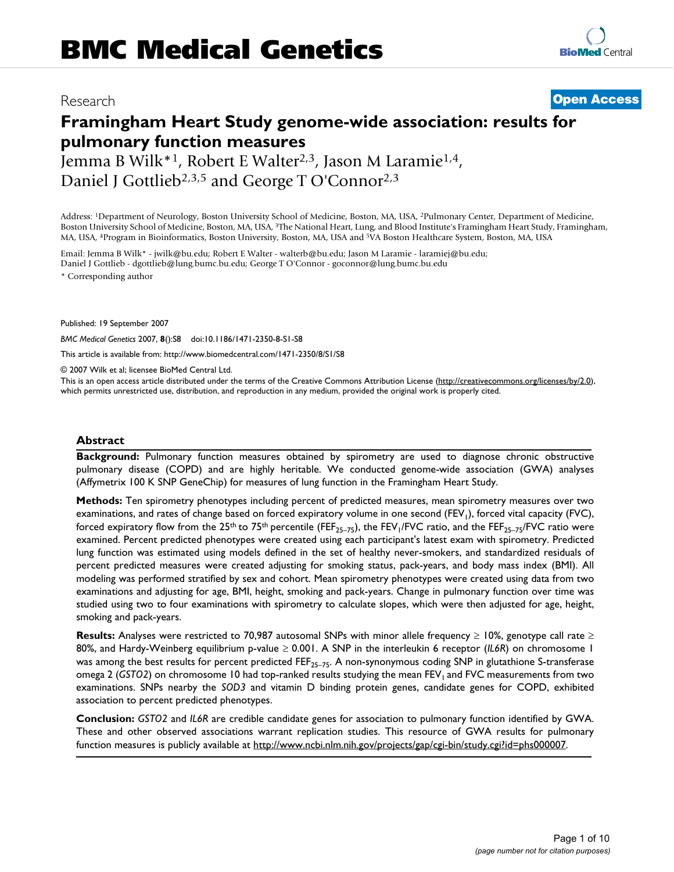# **[BioMed](http://www.biomedcentral.com/)** Central

## Research **[Open Access](http://www.biomedcentral.com/info/about/charter/)**

# **Framingham Heart Study genome-wide association: results for pulmonary function measures**

Jemma B Wilk\*1, Robert E Walter2,3, Jason M Laramie1,4, Daniel J Gottlieb<sup>2,3,5</sup> and George T O'Connor<sup>2,3</sup>

Address: 1Department of Neurology, Boston University School of Medicine, Boston, MA, USA, 2Pulmonary Center, Department of Medicine, Boston University School of Medicine, Boston, MA, USA, 3The National Heart, Lung, and Blood Institute's Framingham Heart Study, Framingham, MA, USA, 4Program in Bioinformatics, Boston University, Boston, MA, USA and 5VA Boston Healthcare System, Boston, MA, USA

Email: Jemma B Wilk\* - jwilk@bu.edu; Robert E Walter - walterb@bu.edu; Jason M Laramie - laramiej@bu.edu; Daniel J Gottlieb - dgottlieb@lung.bumc.bu.edu; George T O'Connor - goconnor@lung.bumc.bu.edu

\* Corresponding author

Published: 19 September 2007

*BMC Medical Genetics* 2007, **8**():S8 doi:10.1186/1471-2350-8-S1-S8

[This article is available from: http://www.biomedcentral.com/1471-2350/8/S1/S8](http://www.biomedcentral.com/1471-2350/8/S1/S8)

© 2007 Wilk et al; licensee BioMed Central Ltd.

This is an open access article distributed under the terms of the Creative Commons Attribution License [\(http://creativecommons.org/licenses/by/2.0\)](http://creativecommons.org/licenses/by/2.0), which permits unrestricted use, distribution, and reproduction in any medium, provided the original work is properly cited.

#### **Abstract**

**Background:** Pulmonary function measures obtained by spirometry are used to diagnose chronic obstructive pulmonary disease (COPD) and are highly heritable. We conducted genome-wide association (GWA) analyses (Affymetrix 100 K SNP GeneChip) for measures of lung function in the Framingham Heart Study.

**Methods:** Ten spirometry phenotypes including percent of predicted measures, mean spirometry measures over two examinations, and rates of change based on forced expiratory volume in one second (FEV<sub>1</sub>), forced vital capacity (FVC), forced expiratory flow from the 25<sup>th</sup> to 75<sup>th</sup> percentile (FEF<sub>25–75</sub>), the FEV<sub>1</sub>/FVC ratio, and the FEF<sub>25–75</sub>/FVC ratio were examined. Percent predicted phenotypes were created using each participant's latest exam with spirometry. Predicted lung function was estimated using models defined in the set of healthy never-smokers, and standardized residuals of percent predicted measures were created adjusting for smoking status, pack-years, and body mass index (BMI). All modeling was performed stratified by sex and cohort. Mean spirometry phenotypes were created using data from two examinations and adjusting for age, BMI, height, smoking and pack-years. Change in pulmonary function over time was studied using two to four examinations with spirometry to calculate slopes, which were then adjusted for age, height, smoking and pack-years.

**Results:** Analyses were restricted to 70,987 autosomal SNPs with minor allele frequency ≥ 10%, genotype call rate ≥ 80%, and Hardy-Weinberg equilibrium p-value ≥ 0.001. A SNP in the interleukin 6 receptor (*IL6R*) on chromosome 1 was among the best results for percent predicted FEF<sub>25–75</sub>. A non-synonymous coding SNP in glutathione S-transferase omega 2 (GSTO2) on chromosome 10 had top-ranked results studying the mean FEV<sub>1</sub> and FVC measurements from two examinations. SNPs nearby the *SOD3* and vitamin D binding protein genes, candidate genes for COPD, exhibited association to percent predicted phenotypes.

**Conclusion:** *GSTO2* and *IL6R* are credible candidate genes for association to pulmonary function identified by GWA. These and other observed associations warrant replication studies. This resource of GWA results for pulmonary function measures is publicly available at<http://www.ncbi.nlm.nih.gov/projects/gap/cgi-bin/study.cgi?id=phs000007>.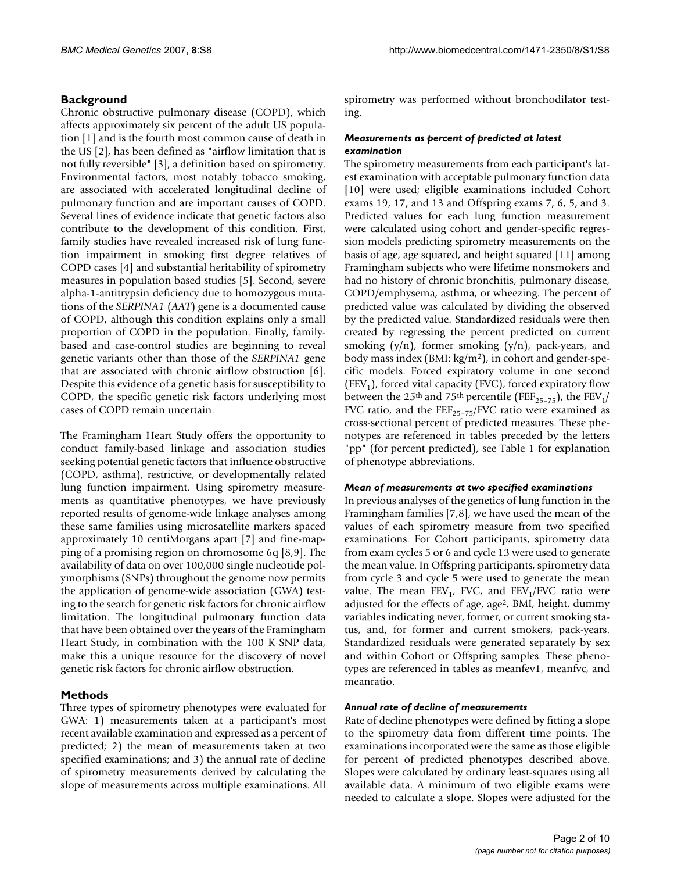#### **Background**

Chronic obstructive pulmonary disease (COPD), which affects approximately six percent of the adult US population [1] and is the fourth most common cause of death in the US [2], has been defined as "airflow limitation that is not fully reversible" [3], a definition based on spirometry. Environmental factors, most notably tobacco smoking, are associated with accelerated longitudinal decline of pulmonary function and are important causes of COPD. Several lines of evidence indicate that genetic factors also contribute to the development of this condition. First, family studies have revealed increased risk of lung function impairment in smoking first degree relatives of COPD cases [4] and substantial heritability of spirometry measures in population based studies [5]. Second, severe alpha-1-antitrypsin deficiency due to homozygous mutations of the *SERPINA1* (*AAT*) gene is a documented cause of COPD, although this condition explains only a small proportion of COPD in the population. Finally, familybased and case-control studies are beginning to reveal genetic variants other than those of the *SERPINA1* gene that are associated with chronic airflow obstruction [6]. Despite this evidence of a genetic basis for susceptibility to COPD, the specific genetic risk factors underlying most cases of COPD remain uncertain.

The Framingham Heart Study offers the opportunity to conduct family-based linkage and association studies seeking potential genetic factors that influence obstructive (COPD, asthma), restrictive, or developmentally related lung function impairment. Using spirometry measurements as quantitative phenotypes, we have previously reported results of genome-wide linkage analyses among these same families using microsatellite markers spaced approximately 10 centiMorgans apart [7] and fine-mapping of a promising region on chromosome 6q [8,9]. The availability of data on over 100,000 single nucleotide polymorphisms (SNPs) throughout the genome now permits the application of genome-wide association (GWA) testing to the search for genetic risk factors for chronic airflow limitation. The longitudinal pulmonary function data that have been obtained over the years of the Framingham Heart Study, in combination with the 100 K SNP data, make this a unique resource for the discovery of novel genetic risk factors for chronic airflow obstruction.

#### **Methods**

Three types of spirometry phenotypes were evaluated for GWA: 1) measurements taken at a participant's most recent available examination and expressed as a percent of predicted; 2) the mean of measurements taken at two specified examinations; and 3) the annual rate of decline of spirometry measurements derived by calculating the slope of measurements across multiple examinations. All

spirometry was performed without bronchodilator testing.

#### *Measurements as percent of predicted at latest examination*

The spirometry measurements from each participant's latest examination with acceptable pulmonary function data [10] were used; eligible examinations included Cohort exams 19, 17, and 13 and Offspring exams 7, 6, 5, and 3. Predicted values for each lung function measurement were calculated using cohort and gender-specific regression models predicting spirometry measurements on the basis of age, age squared, and height squared [11] among Framingham subjects who were lifetime nonsmokers and had no history of chronic bronchitis, pulmonary disease, COPD/emphysema, asthma, or wheezing. The percent of predicted value was calculated by dividing the observed by the predicted value. Standardized residuals were then created by regressing the percent predicted on current smoking  $(y/n)$ , former smoking  $(y/n)$ , pack-years, and body mass index (BMI: kg/m2), in cohort and gender-specific models. Forced expiratory volume in one second (FEV<sub>1</sub>), forced vital capacity (FVC), forced expiratory flow between the 25<sup>th</sup> and 75<sup>th</sup> percentile (FEF<sub>25-75</sub>), the FEV<sub>1</sub>/ FVC ratio, and the  $\text{FEF}_{25-75}/\text{FVC}$  ratio were examined as cross-sectional percent of predicted measures. These phenotypes are referenced in tables preceded by the letters "pp" (for percent predicted), see Table 1 for explanation of phenotype abbreviations.

#### *Mean of measurements at two specified examinations*

In previous analyses of the genetics of lung function in the Framingham families [7,8], we have used the mean of the values of each spirometry measure from two specified examinations. For Cohort participants, spirometry data from exam cycles 5 or 6 and cycle 13 were used to generate the mean value. In Offspring participants, spirometry data from cycle 3 and cycle 5 were used to generate the mean value. The mean  $FEV_1$ , FVC, and  $FEV_1/FVC$  ratio were adjusted for the effects of age, age2, BMI, height, dummy variables indicating never, former, or current smoking status, and, for former and current smokers, pack-years. Standardized residuals were generated separately by sex and within Cohort or Offspring samples. These phenotypes are referenced in tables as meanfev1, meanfvc, and meanratio.

#### *Annual rate of decline of measurements*

Rate of decline phenotypes were defined by fitting a slope to the spirometry data from different time points. The examinations incorporated were the same as those eligible for percent of predicted phenotypes described above. Slopes were calculated by ordinary least-squares using all available data. A minimum of two eligible exams were needed to calculate a slope. Slopes were adjusted for the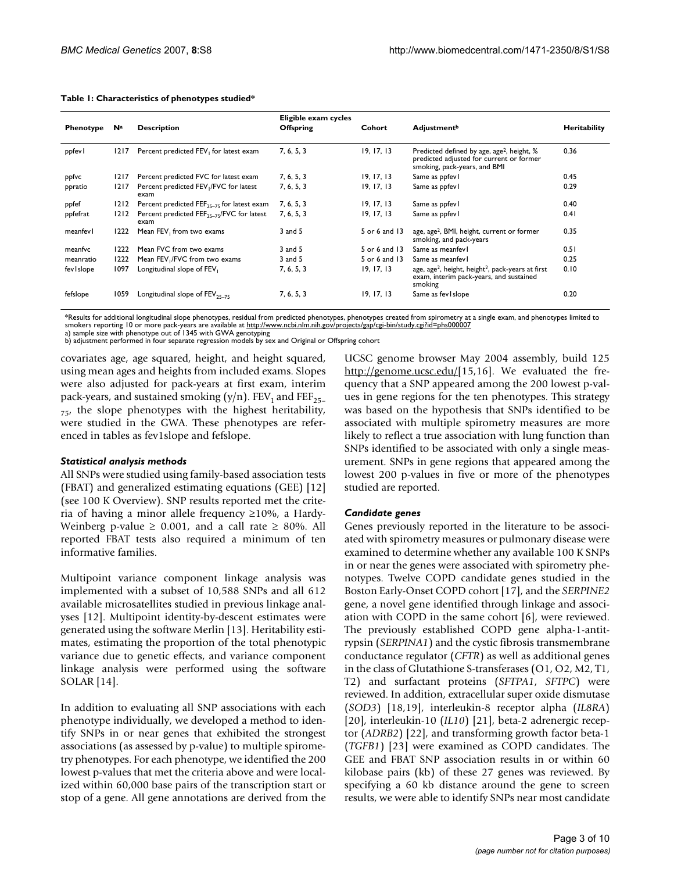| Phenotype | Na     | <b>Description</b>                                             | Eligible exam cycles<br><b>Offspring</b> | Cohort        | <b>Adjustment</b> <sup>b</sup>                                                                                                     | Heritability |
|-----------|--------|----------------------------------------------------------------|------------------------------------------|---------------|------------------------------------------------------------------------------------------------------------------------------------|--------------|
| ppfevl    | 1217   | Percent predicted FEV, for latest exam                         | 7, 6, 5, 3                               | 19, 17, 13    | Predicted defined by age, age <sup>2</sup> , height, %<br>predicted adjusted for current or former<br>smoking, pack-years, and BMI | 0.36         |
| ppfvc     | 1217   | Percent predicted FVC for latest exam                          | 7, 6, 5, 3                               | 19, 17, 13    | Same as ppfev l                                                                                                                    | 0.45         |
| ppratio   | 1217   | Percent predicted FEV, /FVC for latest<br>exam                 | 7, 6, 5, 3                               | 19, 17, 13    | Same as ppfev l                                                                                                                    | 0.29         |
| ppfef     | 1212   | Percent predicted $FEF_{25-75}$ for latest exam                | 7, 6, 5, 3                               | 19, 17, 13    | Same as ppfev l                                                                                                                    | 0.40         |
| ppfefrat  | $1212$ | Percent predicted FEF <sub>25-75</sub> /FVC for latest<br>exam | 7, 6, 5, 3                               | 19, 17, 13    | Same as ppfev l                                                                                                                    | 0.41         |
| meanfevl  | 1222   | Mean FEV, from two exams                                       | 3 and 5                                  | 5 or 6 and 13 | age, age <sup>2</sup> , BMI, height, current or former<br>smoking, and pack-years                                                  | 0.35         |
| meanfvc   | 1222   | Mean FVC from two exams                                        | 3 and 5                                  | 5 or 6 and 13 | Same as meanfev l                                                                                                                  | 0.51         |
| meanratio | 1222   | Mean FEV <sub>1</sub> /FVC from two exams                      | $3$ and $5$                              | 5 or 6 and 13 | Same as meanfey l                                                                                                                  | 0.25         |
| fevislope | 1097   | Longitudinal slope of FEV <sub>1</sub>                         | 7, 6, 5, 3                               | 19, 17, 13    | age, age <sup>2</sup> , height, height <sup>2</sup> , pack-years at first<br>exam, interim pack-years, and sustained<br>smoking    | 0.10         |
| fefslope  | 1059   | Longitudinal slope of $FEV_{25-75}$                            | 7, 6, 5, 3                               | 19, 17, 13    | Same as fev I slope                                                                                                                | 0.20         |

#### **Table 1: Characteristics of phenotypes studied\***

\*Results for additional longitudinal slope phenotypes, residual from predicted phenotypes, phenotypes created from spirometry at a single exam, and phenotypes limited to<br>smokers reporting 10 or more pack-years are availabl

a) sample size with phenotype out of 1345 with GWA genotyping b) adjustment performed in four separate regression models by sex and Original or Offspring cohort

covariates age, age squared, height, and height squared, using mean ages and heights from included exams. Slopes were also adjusted for pack-years at first exam, interim pack-years, and sustained smoking (y/n).  $FEV<sub>1</sub>$  and  $FEF<sub>25-</sub>$  $_{75'}$  the slope phenotypes with the highest heritability, were studied in the GWA. These phenotypes are referenced in tables as fev1slope and fefslope.

#### *Statistical analysis methods*

All SNPs were studied using family-based association tests (FBAT) and generalized estimating equations (GEE) [12] (see 100 K Overview). SNP results reported met the criteria of having a minor allele frequency ≥10%, a Hardy-Weinberg p-value  $\geq$  0.001, and a call rate  $\geq$  80%. All reported FBAT tests also required a minimum of ten informative families.

Multipoint variance component linkage analysis was implemented with a subset of 10,588 SNPs and all 612 available microsatellites studied in previous linkage analyses [12]. Multipoint identity-by-descent estimates were generated using the software Merlin [13]. Heritability estimates, estimating the proportion of the total phenotypic variance due to genetic effects, and variance component linkage analysis were performed using the software SOLAR [14].

In addition to evaluating all SNP associations with each phenotype individually, we developed a method to identify SNPs in or near genes that exhibited the strongest associations (as assessed by p-value) to multiple spirometry phenotypes. For each phenotype, we identified the 200 lowest p-values that met the criteria above and were localized within 60,000 base pairs of the transcription start or stop of a gene. All gene annotations are derived from the UCSC genome browser May 2004 assembly, build 125 <http://genome.ucsc.edu/>[15,16]. We evaluated the frequency that a SNP appeared among the 200 lowest p-values in gene regions for the ten phenotypes. This strategy was based on the hypothesis that SNPs identified to be associated with multiple spirometry measures are more likely to reflect a true association with lung function than SNPs identified to be associated with only a single measurement. SNPs in gene regions that appeared among the lowest 200 p-values in five or more of the phenotypes studied are reported.

#### *Candidate genes*

Genes previously reported in the literature to be associated with spirometry measures or pulmonary disease were examined to determine whether any available 100 K SNPs in or near the genes were associated with spirometry phenotypes. Twelve COPD candidate genes studied in the Boston Early-Onset COPD cohort [17], and the *SERPINE2* gene, a novel gene identified through linkage and association with COPD in the same cohort [6], were reviewed. The previously established COPD gene alpha-1-antitrypsin (*SERPINA1*) and the cystic fibrosis transmembrane conductance regulator (*CFTR*) as well as additional genes in the class of Glutathione S-transferases (O1, O2, M2, T1, T2) and surfactant proteins (*SFTPA1*, *SFTPC*) were reviewed. In addition, extracellular super oxide dismutase (*SOD3*) [18,19], interleukin-8 receptor alpha (*IL8RA*) [20], interleukin-10 (*IL10*) [21], beta-2 adrenergic receptor (*ADRB2*) [22], and transforming growth factor beta-1 (*TGFB1*) [23] were examined as COPD candidates. The GEE and FBAT SNP association results in or within 60 kilobase pairs (kb) of these 27 genes was reviewed. By specifying a 60 kb distance around the gene to screen results, we were able to identify SNPs near most candidate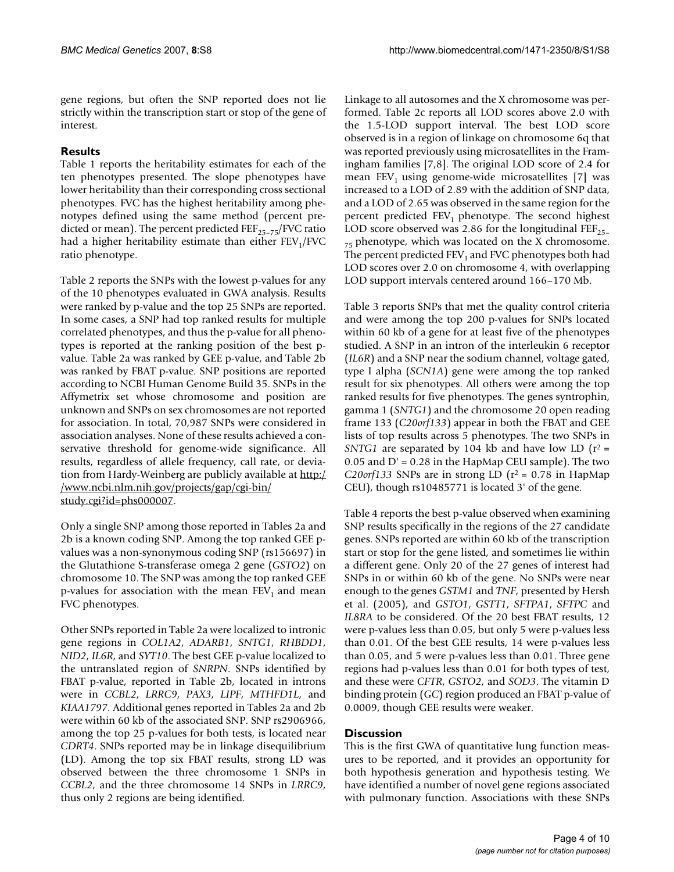gene regions, but often the SNP reported does not lie strictly within the transcription start or stop of the gene of interest.

#### **Results**

Table 1 reports the heritability estimates for each of the ten phenotypes presented. The slope phenotypes have lower heritability than their corresponding cross sectional phenotypes. FVC has the highest heritability among phenotypes defined using the same method (percent predicted or mean). The percent predicted  $\text{FEF}_{25-75}/\text{FVC}$  ratio had a higher heritability estimate than either  $FEV<sub>1</sub>/FVC$ ratio phenotype.

Table 2 reports the SNPs with the lowest p-values for any of the 10 phenotypes evaluated in GWA analysis. Results were ranked by p-value and the top 25 SNPs are reported. In some cases, a SNP had top ranked results for multiple correlated phenotypes, and thus the p-value for all phenotypes is reported at the ranking position of the best pvalue. Table 2a was ranked by GEE p-value, and Table 2b was ranked by FBAT p-value. SNP positions are reported according to NCBI Human Genome Build 35. SNPs in the Affymetrix set whose chromosome and position are unknown and SNPs on sex chromosomes are not reported for association. In total, 70,987 SNPs were considered in association analyses. None of these results achieved a conservative threshold for genome-wide significance. All results, regardless of allele frequency, call rate, or deviation from Hardy-Weinberg are publicly available at [http:/](http://www.ncbi.nlm.nih.gov/projects/gap/cgi-bin/study.cgi?id=phs000007) [/www.ncbi.nlm.nih.gov/projects/gap/cgi-bin/](http://www.ncbi.nlm.nih.gov/projects/gap/cgi-bin/study.cgi?id=phs000007) [study.cgi?id=phs000007.](http://www.ncbi.nlm.nih.gov/projects/gap/cgi-bin/study.cgi?id=phs000007)

Only a single SNP among those reported in Tables 2a and 2b is a known coding SNP. Among the top ranked GEE pvalues was a non-synonymous coding SNP (rs156697) in the Glutathione S-transferase omega 2 gene (*GSTO2*) on chromosome 10. The SNP was among the top ranked GEE p-values for association with the mean  $FEV<sub>1</sub>$  and mean FVC phenotypes.

Other SNPs reported in Table 2a were localized to intronic gene regions in *COL1A2*, *ADARB1*, *SNTG1*, *RHBDD1*, *NID2*, *IL6R*, and *SYT10*. The best GEE p-value localized to the untranslated region of *SNRPN*. SNPs identified by FBAT p-value, reported in Table 2b, located in introns were in *CCBL2*, *LRRC9*, *PAX3*, *LIPF*, *MTHFD1L*, and *KIAA1797*. Additional genes reported in Tables 2a and 2b were within 60 kb of the associated SNP. SNP rs2906966, among the top 25 p-values for both tests, is located near *CDRT4*. SNPs reported may be in linkage disequilibrium (LD). Among the top six FBAT results, strong LD was observed between the three chromosome 1 SNPs in *CCBL2*, and the three chromosome 14 SNPs in *LRRC9*, thus only 2 regions are being identified.

Linkage to all autosomes and the X chromosome was performed. Table 2c reports all LOD scores above 2.0 with the 1.5-LOD support interval. The best LOD score observed is in a region of linkage on chromosome 6q that was reported previously using microsatellites in the Framingham families [7,8]. The original LOD score of 2.4 for mean FEV<sub>1</sub> using genome-wide microsatellites [7] was increased to a LOD of 2.89 with the addition of SNP data, and a LOD of 2.65 was observed in the same region for the percent predicted  $FEV_1$  phenotype. The second highest LOD score observed was 2.86 for the longitudinal  $\text{FEP}_{25-}$  $_{75}$  phenotype, which was located on the X chromosome. The percent predicted  $FEV<sub>1</sub>$  and FVC phenotypes both had LOD scores over 2.0 on chromosome 4, with overlapping LOD support intervals centered around 166–170 Mb.

Table 3 reports SNPs that met the quality control criteria and were among the top 200 p-values for SNPs located within 60 kb of a gene for at least five of the phenotypes studied. A SNP in an intron of the interleukin 6 receptor (*IL6R*) and a SNP near the sodium channel, voltage gated, type I alpha (*SCN1A*) gene were among the top ranked result for six phenotypes. All others were among the top ranked results for five phenotypes. The genes syntrophin, gamma 1 (*SNTG1*) and the chromosome 20 open reading frame 133 (*C20orf133*) appear in both the FBAT and GEE lists of top results across 5 phenotypes. The two SNPs in *SNTG1* are separated by 104 kb and have low LD ( $r^2$  =  $0.05$  and  $D' = 0.28$  in the HapMap CEU sample). The two *C20orf133* SNPs are in strong LD ( $r^2$  = 0.78 in HapMap CEU), though rs10485771 is located 3' of the gene.

Table 4 reports the best p-value observed when examining SNP results specifically in the regions of the 27 candidate genes. SNPs reported are within 60 kb of the transcription start or stop for the gene listed, and sometimes lie within a different gene. Only 20 of the 27 genes of interest had SNPs in or within 60 kb of the gene. No SNPs were near enough to the genes *GSTM1* and *TNF*, presented by Hersh et al. (2005), and *GSTO1*, *GSTT1*, *SFTPA1*, *SFTPC* and *IL8RA* to be considered. Of the 20 best FBAT results, 12 were p-values less than 0.05, but only 5 were p-values less than 0.01. Of the best GEE results, 14 were p-values less than 0.05, and 5 were p-values less than 0.01. Three gene regions had p-values less than 0.01 for both types of test, and these were *CFTR*, *GSTO2*, and *SOD3*. The vitamin D binding protein (*GC*) region produced an FBAT p-value of 0.0009, though GEE results were weaker.

### **Discussion**

This is the first GWA of quantitative lung function measures to be reported, and it provides an opportunity for both hypothesis generation and hypothesis testing. We have identified a number of novel gene regions associated with pulmonary function. Associations with these SNPs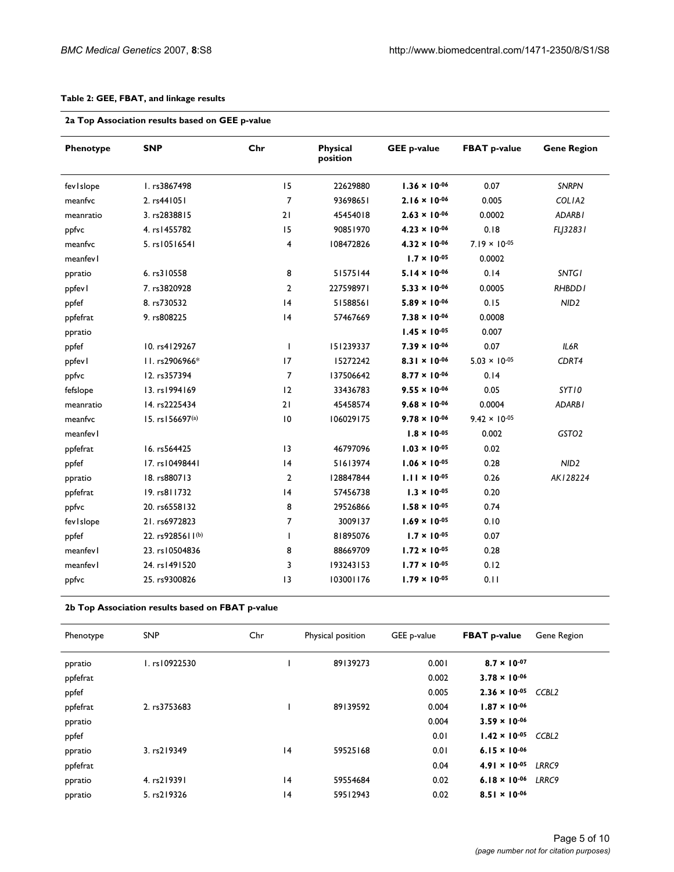#### **Table 2: GEE, FBAT, and linkage results**

| Phenotype   | <b>SNP</b>       | Chr            | Physical<br>position | <b>GEE p-value</b>     | <b>FBAT p-value</b>    | <b>Gene Region</b> |
|-------------|------------------|----------------|----------------------|------------------------|------------------------|--------------------|
| fevislope   | I. rs3867498     | 15             | 22629880             | $1.36 \times 10^{-06}$ | 0.07                   | <b>SNRPN</b>       |
| meanfvc     | 2. rs441051      | 7              | 93698651             | $2.16 \times 10^{-06}$ | 0.005                  | COLIA2             |
| meanratio   | 3. rs2838815     | 21             | 45454018             | $2.63 \times 10^{-06}$ | 0.0002                 | ADARBI             |
| ppfvc       | 4. rs   455782   | 15             | 90851970             | $4.23 \times 10^{-06}$ | 0.18                   | FLJ32831           |
| meanfvc     | 5. rs10516541    | 4              | 108472826            | $4.32 \times 10^{-06}$ | $7.19 \times 10^{-05}$ |                    |
| meanfev l   |                  |                |                      | $1.7 \times 10^{-05}$  | 0.0002                 |                    |
| ppratio     | 6. rs310558      | 8              | 51575144             | $5.14 \times 10^{-06}$ | 0.14                   | <b>SNTG1</b>       |
| ppfev l     | 7. rs3820928     | $\overline{2}$ | 227598971            | $5.33 \times 10^{-06}$ | 0.0005                 | RHBDD <sub>I</sub> |
| ppfef       | 8. rs730532      | 4              | 51588561             | $5.89 \times 10^{-06}$ | 0.15                   | NID <sub>2</sub>   |
| ppfefrat    | 9. rs808225      | 4              | 57467669             | $7.38 \times 10^{-06}$ | 0.0008                 |                    |
| ppratio     |                  |                |                      | $1.45 \times 10^{-05}$ | 0.007                  |                    |
| ppfef       | 10. rs4129267    | т              | 151239337            | $7.39 \times 10^{-06}$ | 0.07                   | IL6R               |
| ppfev l     | II. rs2906966*   | 17             | 15272242             | $8.31 \times 10^{-06}$ | $5.03 \times 10^{-05}$ | CDRT4              |
| ppfvc       | 12. rs357394     | $\overline{7}$ | 137506642            | $8.77 \times 10^{-06}$ | 0.14                   |                    |
| fefslope    | 13. rs1994169    | 12             | 33436783             | $9.55 \times 10^{-06}$ | 0.05                   | SYT10              |
| meanratio   | 14. rs2225434    | 21             | 45458574             | $9.68 \times 10^{-06}$ | 0.0004                 | ADARBI             |
| meanfvc     | 15. rs156697(a)  | 0              | 106029175            | $9.78 \times 10^{-06}$ | $9.42 \times 10^{-05}$ |                    |
| meanfev l   |                  |                |                      | $1.8 \times 10^{-05}$  | 0.002                  | GSTO <sub>2</sub>  |
| ppfefrat    | 16. rs564425     | 3              | 46797096             | $1.03 \times 10^{-05}$ | 0.02                   |                    |
| ppfef       | 17. rs10498441   | 4              | 51613974             | $1.06 \times 10^{-05}$ | 0.28                   | NID <sub>2</sub>   |
| ppratio     | 18. rs880713     | 2              | 128847844            | $1.11 \times 10^{-05}$ | 0.26                   | AK128224           |
| ppfefrat    | 19. rs811732     | 4              | 57456738             | $1.3 \times 10^{-05}$  | 0.20                   |                    |
| ppfvc       | 20. rs6558132    | 8              | 29526866             | $1.58 \times 10^{-05}$ | 0.74                   |                    |
| fev I slope | 21. rs6972823    | 7              | 3009137              | $1.69 \times 10^{-05}$ | 0.10                   |                    |
| ppfef       | 22. rs9285611(b) | L              | 81895076             | $1.7 \times 10^{-05}$  | 0.07                   |                    |
| meanfev l   | 23. rs10504836   | 8              | 88669709             | $1.72 \times 10^{-05}$ | 0.28                   |                    |
| meanfev l   | 24. rs1491520    | 3              | 193243153            | $1.77 \times 10^{-05}$ | 0.12                   |                    |
| ppfvc       | 25. rs9300826    | 3              | 103001176            | $1.79 \times 10^{-05}$ | 0.11                   |                    |

**2b Top Association results based on FBAT p-value**

| Phenotype | <b>SNP</b>    | Chr | Physical position | GEE p-value | <b>FBAT</b> p-value    | Gene Region       |
|-----------|---------------|-----|-------------------|-------------|------------------------|-------------------|
| ppratio   | I. rs10922530 |     | 89139273          | 0.001       | $8.7 \times 10^{-07}$  |                   |
| ppfefrat  |               |     |                   | 0.002       | $3.78 \times 10^{-06}$ |                   |
| ppfef     |               |     |                   | 0.005       | $2.36 \times 10^{-05}$ | CCBL <sub>2</sub> |
| ppfefrat  | 2. rs3753683  |     | 89139592          | 0.004       | $1.87 \times 10^{-06}$ |                   |
| ppratio   |               |     |                   | 0.004       | $3.59 \times 10^{-06}$ |                   |
| ppfef     |               |     |                   | 0.01        | $1.42 \times 10^{-05}$ | CCBL <sub>2</sub> |
| ppratio   | 3. rs219349   | 4   | 59525168          | 0.01        | $6.15 \times 10^{-06}$ |                   |
| ppfefrat  |               |     |                   | 0.04        | $4.91 \times 10^{-05}$ | LRRC9             |
| ppratio   | 4. rs219391   | 4   | 59554684          | 0.02        | $6.18 \times 10^{-06}$ | LRRC9             |
| ppratio   | 5. rs219326   | 4   | 59512943          | 0.02        | $8.51 \times 10^{-06}$ |                   |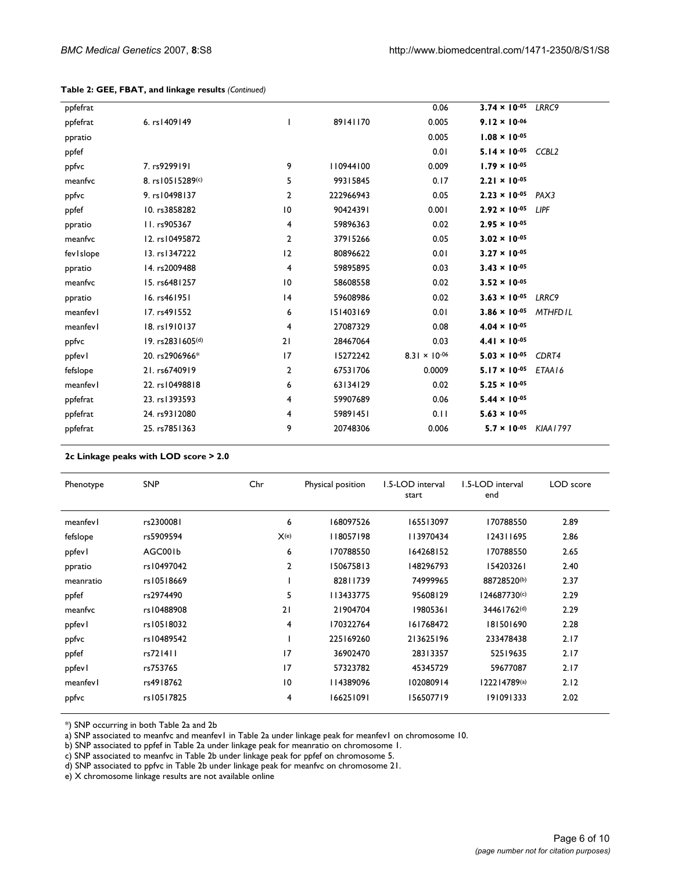| ppfefrat    |                  |    |           | 0.06                   | $3.74 \times 10^{-05}$ | LRRC9             |
|-------------|------------------|----|-----------|------------------------|------------------------|-------------------|
| ppfefrat    | 6. rs1409149     | ı  | 89141170  | 0.005                  | $9.12 \times 10^{-06}$ |                   |
| ppratio     |                  |    |           | 0.005                  | $1.08 \times 10^{-05}$ |                   |
| ppfef       |                  |    |           | 0.01                   | $5.14 \times 10^{-05}$ | CCBL <sub>2</sub> |
| ppfvc       | 7. rs9299191     | 9  | 110944100 | 0.009                  | $1.79 \times 10^{-05}$ |                   |
| meanfvc     | 8. rs10515289(c) | 5  | 99315845  | 0.17                   | $2.21 \times 10^{-05}$ |                   |
| ppfvc       | 9. rs10498137    | 2  | 222966943 | 0.05                   | $2.23 \times 10^{-05}$ | PAX3              |
| ppfef       | 10. rs3858282    | 10 | 90424391  | 0.001                  | $2.92 \times 10^{-05}$ | <b>LIPF</b>       |
| ppratio     | II. rs905367     | 4  | 59896363  | 0.02                   | $2.95 \times 10^{-05}$ |                   |
| meanfvc     | 12. rs10495872   | 2  | 37915266  | 0.05                   | $3.02 \times 10^{-05}$ |                   |
| fev I slope | 13. rs1347222    | 12 | 80896622  | 0.01                   | $3.27 \times 10^{-05}$ |                   |
| ppratio     | 14. rs2009488    | 4  | 59895895  | 0.03                   | $3.43 \times 10^{-05}$ |                   |
| meanfvc     | 15. rs6481257    | 10 | 58608558  | 0.02                   | $3.52 \times 10^{-05}$ |                   |
| ppratio     | 16. rs461951     | 4  | 59608986  | 0.02                   | $3.63 \times 10^{-05}$ | LRRC9             |
| meanfevl    | 17. rs491552     | 6  | 151403169 | 0.01                   | $3.86 \times 10^{-05}$ | <b>MTHFDIL</b>    |
| meanfev l   | 18. rs1910137    | 4  | 27087329  | 0.08                   | $4.04 \times 10^{-05}$ |                   |
| ppfvc       | 19. rs2831605(d) | 21 | 28467064  | 0.03                   | $4.41 \times 10^{-05}$ |                   |
| ppfevl      | 20. rs2906966*   | 17 | 15272242  | $8.31 \times 10^{-06}$ | $5.03 \times 10^{-05}$ | CDRT4             |
| fefslope    | 21. rs6740919    | 2  | 67531706  | 0.0009                 | $5.17 \times 10^{-05}$ | ETAA16            |
| meanfevl    | 22. rs10498818   | 6  | 63134129  | 0.02                   | $5.25 \times 10^{-05}$ |                   |
| ppfefrat    | 23. rs1393593    | 4  | 59907689  | 0.06                   | $5.44 \times 10^{-05}$ |                   |
| ppfefrat    | 24. rs9312080    | 4  | 59891451  | 0.11                   | $5.63 \times 10^{-05}$ |                   |
| ppfefrat    | 25. rs7851363    | 9  | 20748306  | 0.006                  | $5.7 \times 10^{-05}$  | KIAA 1797         |
|             |                  |    |           |                        |                        |                   |

#### **Table 2: GEE, FBAT, and linkage results** *(Continued)*

#### **2c Linkage peaks with LOD score > 2.0**

| Phenotype | <b>SNP</b> | Chr             | Physical position | 1.5-LOD interval<br>start | 1.5-LOD interval<br>end | LOD score |
|-----------|------------|-----------------|-------------------|---------------------------|-------------------------|-----------|
| meanfevl  | rs2300081  | 6               | 168097526         | 165513097                 | 170788550               | 2.89      |
| fefslope  | rs5909594  | X(e)            | 118057198         | 113970434                 | 124311695               | 2.86      |
| ppfevl    | AGC001b    | 6               | 170788550         | 164268152                 | 170788550               | 2.65      |
| ppratio   | rs10497042 | $\overline{2}$  | 150675813         | 148296793                 | 154203261               | 2.40      |
| meanratio | rs10518669 |                 | 82811739          | 74999965                  | 88728520(b)             | 2.37      |
| ppfef     | rs2974490  | 5               | 113433775         | 95608129                  | 124687730(c)            | 2.29      |
| meanfvc   | rs10488908 | 21              | 21904704          | 19805361                  | 34461762 <sup>(d)</sup> | 2.29      |
| ppfevl    | rs10518032 | 4               | 170322764         | 161768472                 | 181501690               | 2.28      |
| ppfvc     | rs10489542 |                 | 225169260         | 213625196                 | 233478438               | 2.17      |
| ppfef     | rs721411   | 17              | 36902470          | 28313357                  | 52519635                | 2.17      |
| ppfevl    | rs753765   | 17              | 57323782          | 45345729                  | 59677087                | 2.17      |
| meanfevl  | rs4918762  | $\overline{10}$ | 114389096         | 102080914                 | 122214789(a)            | 2.12      |
| ppfvc     | rs10517825 | 4               | 166251091         | 156507719                 | 191091333               | 2.02      |

\*) SNP occurring in both Table 2a and 2b

a) SNP associated to meanfvc and meanfev1 in Table 2a under linkage peak for meanfev1 on chromosome 10.

b) SNP associated to ppfef in Table 2a under linkage peak for meanratio on chromosome 1.

c) SNP associated to meanfvc in Table 2b under linkage peak for ppfef on chromosome 5.

d) SNP associated to ppfvc in Table 2b under linkage peak for meanfvc on chromosome 21.

e) X chromosome linkage results are not available online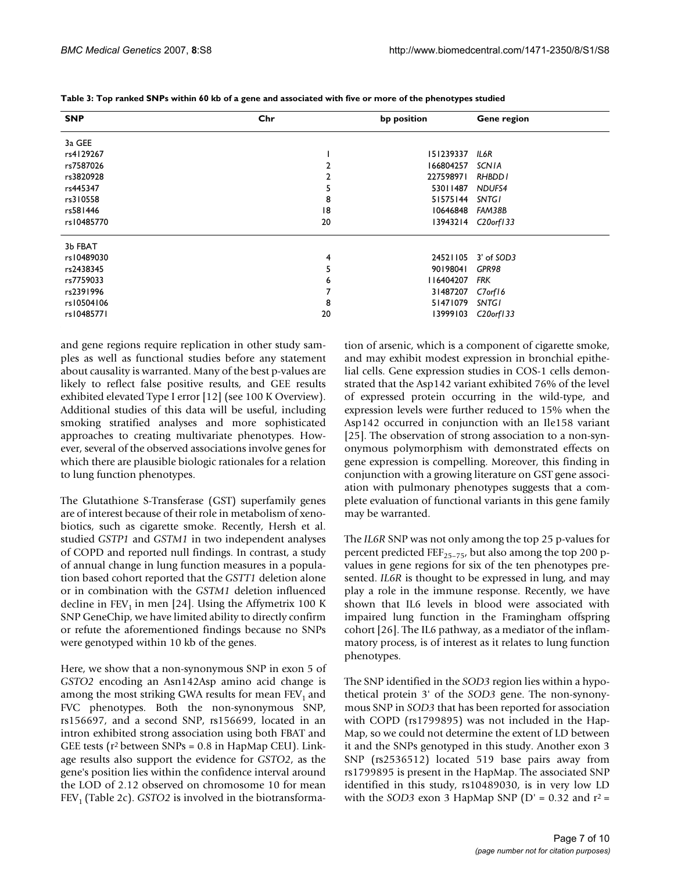| <b>SNP</b> | Chr | bp position     | Gene region            |
|------------|-----|-----------------|------------------------|
| 3a GEE     |     |                 |                        |
| rs4129267  |     | 151239337       | IL6R                   |
| rs7587026  |     | 166804257       | <b>SCNIA</b>           |
| rs3820928  |     | 227598971       | RHBDD I                |
| rs445347   | 5   | 53011487        | NDUFS4                 |
| rs310558   | 8   | 51575144        | SNTGI                  |
| rs581446   | 18  | 10646848 FAM38B |                        |
| rs10485770 | 20  |                 | 13943214 C20orf133     |
| 3b FBAT    |     |                 |                        |
| rs10489030 | 4   |                 | 24521105 3' of SOD3    |
| rs2438345  | 5   | 90198041        | GPR98                  |
| rs7759033  | 6   | 116404207       | <b>FRK</b>             |
| rs2391996  |     | 31487207        | C7orf16                |
| rs10504106 | 8   | 51471079        | <b>SNTGI</b>           |
| rs10485771 | 20  | 13999103        | C <sub>20</sub> orf133 |

**Table 3: Top ranked SNPs within 60 kb of a gene and associated with five or more of the phenotypes studied**

and gene regions require replication in other study samples as well as functional studies before any statement about causality is warranted. Many of the best p-values are likely to reflect false positive results, and GEE results exhibited elevated Type I error [12] (see 100 K Overview). Additional studies of this data will be useful, including smoking stratified analyses and more sophisticated approaches to creating multivariate phenotypes. However, several of the observed associations involve genes for which there are plausible biologic rationales for a relation to lung function phenotypes.

The Glutathione S-Transferase (GST) superfamily genes are of interest because of their role in metabolism of xenobiotics, such as cigarette smoke. Recently, Hersh et al. studied *GSTP1* and *GSTM1* in two independent analyses of COPD and reported null findings. In contrast, a study of annual change in lung function measures in a population based cohort reported that the *GSTT1* deletion alone or in combination with the *GSTM1* deletion influenced decline in  $FEV<sub>1</sub>$  in men [24]. Using the Affymetrix 100 K SNP GeneChip, we have limited ability to directly confirm or refute the aforementioned findings because no SNPs were genotyped within 10 kb of the genes.

Here, we show that a non-synonymous SNP in exon 5 of *GSTO2* encoding an Asn142Asp amino acid change is among the most striking GWA results for mean  $FEV<sub>1</sub>$  and FVC phenotypes. Both the non-synonymous SNP, rs156697, and a second SNP, rs156699, located in an intron exhibited strong association using both FBAT and GEE tests ( $r^2$  between SNPs = 0.8 in HapMap CEU). Linkage results also support the evidence for *GSTO2*, as the gene's position lies within the confidence interval around the LOD of 2.12 observed on chromosome 10 for mean  $FEV<sub>1</sub>$  (Table 2c). *GSTO2* is involved in the biotransformation of arsenic, which is a component of cigarette smoke, and may exhibit modest expression in bronchial epithelial cells. Gene expression studies in COS-1 cells demonstrated that the Asp142 variant exhibited 76% of the level of expressed protein occurring in the wild-type, and expression levels were further reduced to 15% when the Asp142 occurred in conjunction with an Ile158 variant [25]. The observation of strong association to a non-synonymous polymorphism with demonstrated effects on gene expression is compelling. Moreover, this finding in conjunction with a growing literature on GST gene association with pulmonary phenotypes suggests that a complete evaluation of functional variants in this gene family may be warranted.

The *IL6R* SNP was not only among the top 25 p-values for percent predicted FEF<sub>25–75</sub>, but also among the top 200 pvalues in gene regions for six of the ten phenotypes presented. *IL6R* is thought to be expressed in lung, and may play a role in the immune response. Recently, we have shown that IL6 levels in blood were associated with impaired lung function in the Framingham offspring cohort [26]. The IL6 pathway, as a mediator of the inflammatory process, is of interest as it relates to lung function phenotypes.

The SNP identified in the *SOD3* region lies within a hypothetical protein 3' of the *SOD3* gene. The non-synonymous SNP in *SOD3* that has been reported for association with COPD (rs1799895) was not included in the Hap-Map, so we could not determine the extent of LD between it and the SNPs genotyped in this study. Another exon 3 SNP (rs2536512) located 519 base pairs away from rs1799895 is present in the HapMap. The associated SNP identified in this study, rs10489030, is in very low LD with the *SOD3* exon 3 HapMap SNP ( $D' = 0.32$  and  $r^2 =$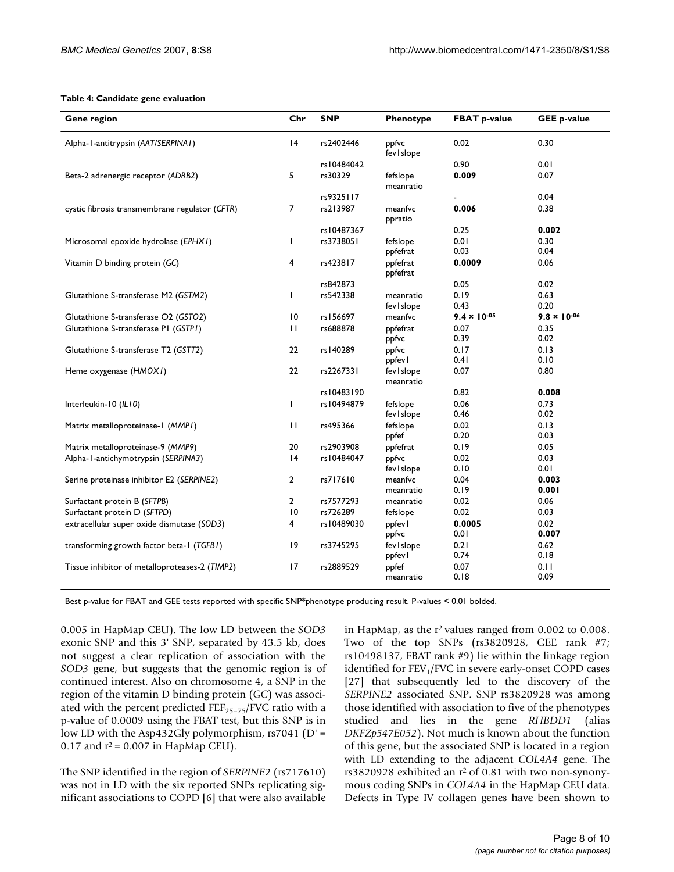#### **Table 4: Candidate gene evaluation**

| <b>Gene region</b>                             | Chr             | <b>SNP</b> | Phenotype               | <b>FBAT p-value</b>   | <b>GEE p-value</b>    |
|------------------------------------------------|-----------------|------------|-------------------------|-----------------------|-----------------------|
| Alpha-1-antitrypsin (AAT/SERPINA1)             | 4               | rs2402446  | ppfvc<br>fev I slope    | 0.02                  | 0.30                  |
|                                                |                 | rs10484042 |                         | 0.90                  | 0.01                  |
| Beta-2 adrenergic receptor (ADRB2)             | 5               | rs30329    | fefslope<br>meanratio   | 0.009                 | 0.07                  |
|                                                |                 | rs9325117  |                         |                       | 0.04                  |
| cystic fibrosis transmembrane regulator (CFTR) | 7               | rs213987   | meanfvc<br>ppratio      | 0.006                 | 0.38                  |
|                                                |                 | rs10487367 |                         | 0.25                  | 0.002                 |
| Microsomal epoxide hydrolase (EPHX1)           | $\mathbf{I}$    | rs3738051  | fefslope<br>ppfefrat    | 0.01<br>0.03          | 0.30<br>0.04          |
| Vitamin D binding protein (GC)                 | 4               | rs423817   | ppfefrat<br>ppfefrat    | 0.0009                | 0.06                  |
|                                                |                 | rs842873   |                         | 0.05                  | 0.02                  |
| Glutathione S-transferase M2 (GSTM2)           | L               | rs542338   | meanratio               | 0.19                  | 0.63                  |
|                                                |                 |            | fev I slope             | 0.43                  | 0.20                  |
| Glutathione S-transferase O2 (GST02)           | 10              | rs156697   | meanfvc                 | $9.4 \times 10^{-05}$ | $9.8 \times 10^{-06}$ |
| Glutathione S-transferase P1 (GSTP1)           | $\mathbf{H}$    | rs688878   | ppfefrat<br>ppfvc       | 0.07<br>0.39          | 0.35<br>0.02          |
| Glutathione S-transferase T2 (GSTT2)           | 22              | rs140289   | ppfvc<br>ppfevl         | 0.17<br>0.41          | 0.13<br>0.10          |
| Heme oxygenase (HMOXI)                         | 22              | rs2267331  | fevislope<br>meanratio  | 0.07                  | 0.80                  |
|                                                |                 | rs10483190 |                         | 0.82                  | 0.008                 |
| Interleukin-10 (IL10)                          | $\mathbf{I}$    | rs10494879 | fefslope<br>fev I slope | 0.06<br>0.46          | 0.73<br>0.02          |
| Matrix metalloproteinase-1 (MMP1)              | $\mathbf{H}$    | rs495366   | fefslope<br>ppfef       | 0.02<br>0.20          | 0.13<br>0.03          |
| Matrix metalloproteinase-9 (MMP9)              | 20              | rs2903908  | ppfefrat                | 0.19                  | 0.05                  |
| Alpha-1-antichymotrypsin (SERPINA3)            | 4               | rs10484047 | ppfvc                   | 0.02                  | 0.03                  |
|                                                |                 |            | fev I slope             | 0.10                  | 0.01                  |
| Serine proteinase inhibitor E2 (SERPINE2)      | $\overline{2}$  | rs717610   | meanfvc<br>meanratio    | 0.04<br>0.19          | 0.003<br>0.001        |
| Surfactant protein B (SFTPB)                   | $\mathbf{2}$    | rs7577293  | meanratio               | 0.02                  | 0.06                  |
| Surfactant protein D (SFTPD)                   | $\overline{10}$ | rs726289   | fefslope                | 0.02                  | 0.03                  |
| extracellular super oxide dismutase (SOD3)     | 4               | rs10489030 | ppfevl                  | 0.0005                | 0.02                  |
|                                                |                 |            | ppfvc                   | 0.01                  | 0.007                 |
| transforming growth factor beta-1 (TGFB1)      | 9               | rs3745295  | fevislope               | 0.21                  | 0.62                  |
|                                                |                 |            | ppfevl                  | 0.74                  | 0.18                  |
| Tissue inhibitor of metalloproteases-2 (TIMP2) | 17              | rs2889529  | ppfef<br>meanratio      | 0.07<br>0.18          | 0.11<br>0.09          |

Best p-value for FBAT and GEE tests reported with specific SNP\*phenotype producing result. P-values < 0.01 bolded.

0.005 in HapMap CEU). The low LD between the *SOD3* exonic SNP and this 3' SNP, separated by 43.5 kb, does not suggest a clear replication of association with the *SOD3* gene, but suggests that the genomic region is of continued interest. Also on chromosome 4, a SNP in the region of the vitamin D binding protein (*GC*) was associated with the percent predicted  $\text{FE}$ <sub>25–75</sub>/FVC ratio with a p-value of 0.0009 using the FBAT test, but this SNP is in low LD with the Asp432Gly polymorphism,  $rs7041$  (D' = 0.17 and  $r^2$  = 0.007 in HapMap CEU).

The SNP identified in the region of *SERPINE2* (rs717610) was not in LD with the six reported SNPs replicating significant associations to COPD [6] that were also available in HapMap, as the  $r^2$  values ranged from 0.002 to 0.008. Two of the top SNPs (rs3820928, GEE rank #7; rs10498137, FBAT rank #9) lie within the linkage region identified for  $FEV<sub>1</sub>/FVC$  in severe early-onset COPD cases [27] that subsequently led to the discovery of the *SERPINE2* associated SNP. SNP rs3820928 was among those identified with association to five of the phenotypes studied and lies in the gene *RHBDD1* (alias *DKFZp547E052*). Not much is known about the function of this gene, but the associated SNP is located in a region with LD extending to the adjacent *COL4A4* gene. The rs3820928 exhibited an r<sup>2</sup> of 0.81 with two non-synonymous coding SNPs in *COL4A4* in the HapMap CEU data. Defects in Type IV collagen genes have been shown to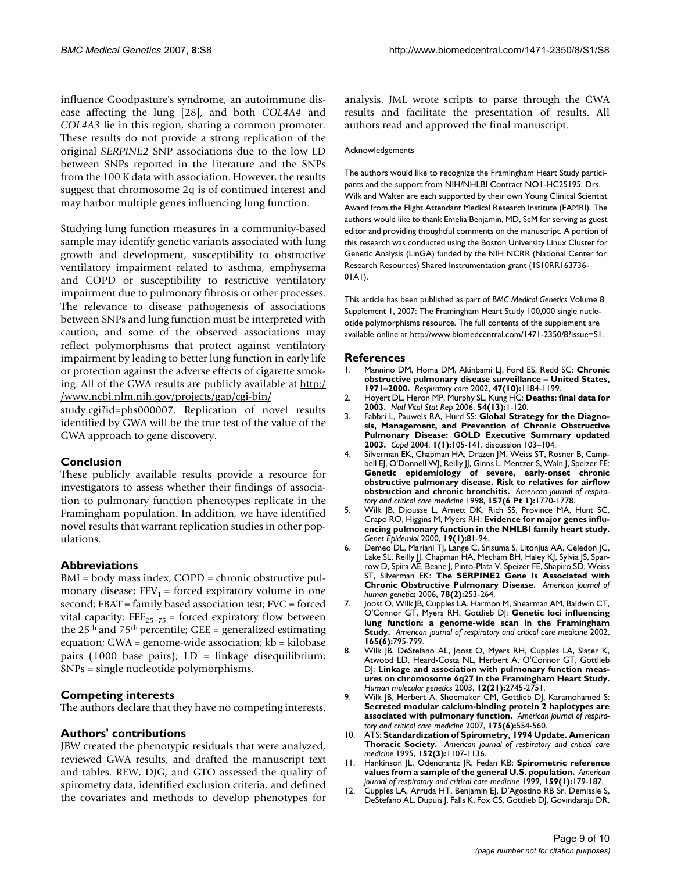influence Goodpasture's syndrome, an autoimmune disease affecting the lung [28], and both *COL4A4* and *COL4A3* lie in this region, sharing a common promoter. These results do not provide a strong replication of the original *SERPINE2* SNP associations due to the low LD between SNPs reported in the literature and the SNPs from the 100 K data with association. However, the results suggest that chromosome 2q is of continued interest and may harbor multiple genes influencing lung function.

Studying lung function measures in a community-based sample may identify genetic variants associated with lung growth and development, susceptibility to obstructive ventilatory impairment related to asthma, emphysema and COPD or susceptibility to restrictive ventilatory impairment due to pulmonary fibrosis or other processes. The relevance to disease pathogenesis of associations between SNPs and lung function must be interpreted with caution, and some of the observed associations may reflect polymorphisms that protect against ventilatory impairment by leading to better lung function in early life or protection against the adverse effects of cigarette smoking. All of the GWA results are publicly available at [http:/](http://www.ncbi.nlm.nih.gov/projects/gap/cgi-bin/study.cgi?id=phs000007) [/www.ncbi.nlm.nih.gov/projects/gap/cgi-bin/](http://www.ncbi.nlm.nih.gov/projects/gap/cgi-bin/study.cgi?id=phs000007)

[study.cgi?id=phs000007.](http://www.ncbi.nlm.nih.gov/projects/gap/cgi-bin/study.cgi?id=phs000007) Replication of novel results identified by GWA will be the true test of the value of the GWA approach to gene discovery.

#### **Conclusion**

These publicly available results provide a resource for investigators to assess whether their findings of association to pulmonary function phenotypes replicate in the Framingham population. In addition, we have identified novel results that warrant replication studies in other populations.

#### **Abbreviations**

BMI = body mass index; COPD = chronic obstructive pulmonary disease;  $FEV_1 =$  forced expiratory volume in one second; FBAT = family based association test; FVC = forced vital capacity;  $FEF_{25-75}$  = forced expiratory flow between the  $25<sup>th</sup>$  and  $75<sup>th</sup>$  percentile; GEE = generalized estimating equation; GWA = genome-wide association; kb = kilobase pairs (1000 base pairs);  $LD = linkage$  disequilibrium; SNPs = single nucleotide polymorphisms.

#### **Competing interests**

The authors declare that they have no competing interests.

#### **Authors' contributions**

JBW created the phenotypic residuals that were analyzed, reviewed GWA results, and drafted the manuscript text and tables. REW, DJG, and GTO assessed the quality of spirometry data, identified exclusion criteria, and defined the covariates and methods to develop phenotypes for analysis. JML wrote scripts to parse through the GWA results and facilitate the presentation of results. All authors read and approved the final manuscript.

#### Acknowledgements

The authors would like to recognize the Framingham Heart Study participants and the support from NIH/NHLBI Contract NO1-HC25195. Drs. Wilk and Walter are each supported by their own Young Clinical Scientist Award from the Flight Attendant Medical Research Institute (FAMRI). The authors would like to thank Emelia Benjamin, MD, ScM for serving as guest editor and providing thoughtful comments on the manuscript. A portion of this research was conducted using the Boston University Linux Cluster for Genetic Analysis (LinGA) funded by the NIH NCRR (National Center for Research Resources) Shared Instrumentation grant (1S10RR163736- 01A1).

This article has been published as part of *BMC Medical Genetics* Volume 8 Supplement 1, 2007: The Framingham Heart Study 100,000 single nucleotide polymorphisms resource. The full contents of the supplement are available online at<http://www.biomedcentral.com/1471-2350/8?issue=S1>.

#### **References**

- 1. Mannino DM, Homa DM, Akinbami LJ, Ford ES, Redd SC: **[Chronic](http://www.ncbi.nlm.nih.gov/entrez/query.fcgi?cmd=Retrieve&db=PubMed&dopt=Abstract&list_uids=12354338) [obstructive pulmonary disease surveillance – United States,](http://www.ncbi.nlm.nih.gov/entrez/query.fcgi?cmd=Retrieve&db=PubMed&dopt=Abstract&list_uids=12354338) [1971–2000.](http://www.ncbi.nlm.nih.gov/entrez/query.fcgi?cmd=Retrieve&db=PubMed&dopt=Abstract&list_uids=12354338)** *Respiratory care* 2002, **47(10):**1184-1199.
- 2. Hoyert DL, Heron MP, Murphy SL, Kung HC: **[Deaths: final data for](http://www.ncbi.nlm.nih.gov/entrez/query.fcgi?cmd=Retrieve&db=PubMed&dopt=Abstract&list_uids=16689256) [2003.](http://www.ncbi.nlm.nih.gov/entrez/query.fcgi?cmd=Retrieve&db=PubMed&dopt=Abstract&list_uids=16689256)** *Natl Vital Stat Rep* 2006, **54(13):**1-120.
- 3. Fabbri L, Pauwels RA, Hurd SS: **[Global Strategy for the Diagno](http://www.ncbi.nlm.nih.gov/entrez/query.fcgi?cmd=Retrieve&db=PubMed&dopt=Abstract&list_uids=16997745)[sis, Management, and Prevention of Chronic Obstructive](http://www.ncbi.nlm.nih.gov/entrez/query.fcgi?cmd=Retrieve&db=PubMed&dopt=Abstract&list_uids=16997745) Pulmonary Disease: GOLD Executive Summary updated [2003.](http://www.ncbi.nlm.nih.gov/entrez/query.fcgi?cmd=Retrieve&db=PubMed&dopt=Abstract&list_uids=16997745)** *Copd* 2004, **1(1):**105-141. discussion 103–104.
- 4. Silverman EK, Chapman HA, Drazen JM, Weiss ST, Rosner B, Campbell EJ, O'Donnell WJ, Reilly JJ, Ginns L, Mentzer S, Wain J, Speizer FE: **Genetic epidemiology of severe, early-onset chronic obstructive pulmonary disease. Risk to relatives for airflow obstruction and chronic bronchitis.** *American journal of respiratory and critical care medicine* 1998, **157(6 Pt 1):**1770-1778.
- 5. Wilk JB, Djousse L, Arnett DK, Rich SS, Province MA, Hunt SC, Crapo RO, Higgins M, Myers RH: **[Evidence for major genes influ](http://www.ncbi.nlm.nih.gov/entrez/query.fcgi?cmd=Retrieve&db=PubMed&dopt=Abstract&list_uids=10861898)[encing pulmonary function in the NHLBI family heart study.](http://www.ncbi.nlm.nih.gov/entrez/query.fcgi?cmd=Retrieve&db=PubMed&dopt=Abstract&list_uids=10861898)** *Genet Epidemiol* 2000, **19(1):**81-94.
- 6. Demeo DL, Mariani TJ, Lange C, Srisuma S, Litonjua AA, Celedon JC, Lake SL, Reilly JJ, Chapman HA, Mecham BH, Haley KJ, Sylvia JS, Sparrow D, Spira AE, Beane J, Pinto-Plata V, Speizer FE, Shapiro SD, Weiss ST, Silverman EK: **[The SERPINE2 Gene Is Associated with](http://www.ncbi.nlm.nih.gov/entrez/query.fcgi?cmd=Retrieve&db=PubMed&dopt=Abstract&list_uids=16358219) [Chronic Obstructive Pulmonary Disease.](http://www.ncbi.nlm.nih.gov/entrez/query.fcgi?cmd=Retrieve&db=PubMed&dopt=Abstract&list_uids=16358219)** *American journal of human genetics* 2006, **78(2):**253-264.
- 7. Joost O, Wilk JB, Cupples LA, Harmon M, Shearman AM, Baldwin CT, O'Connor GT, Myers RH, Gottlieb DJ: **Genetic loci influencing lung function: a genome-wide scan in the Framingham Study.** *American journal of respiratory and critical care medicine* 2002, **165(6):**795-799.
- 8. Wilk JB, DeStefano AL, Joost O, Myers RH, Cupples LA, Slater K, Atwood LD, Heard-Costa NL, Herbert A, O'Connor GT, Gottlieb DJ: **[Linkage and association with pulmonary function meas](http://www.ncbi.nlm.nih.gov/entrez/query.fcgi?cmd=Retrieve&db=PubMed&dopt=Abstract&list_uids=12966033)[ures on chromosome 6q27 in the Framingham Heart Study.](http://www.ncbi.nlm.nih.gov/entrez/query.fcgi?cmd=Retrieve&db=PubMed&dopt=Abstract&list_uids=12966033)** *Human molecular genetics* 2003, **12(21):**2745-2751.
- 9. Wilk JB, Herbert A, Shoemaker CM, Gottlieb DJ, Karamohamed S: **Secreted modular calcium-binding protein 2 haplotypes are associated with pulmonary function.** *American journal of respiratory and critical care medicine* 2007, **175(6):**554-560.
- 10. ATS: **Standardization of Spirometry, 1994 Update. American Thoracic Society.** *American journal of respiratory and critical care medicine* 1995, **152(3):**1107-1136.
- 11. Hankinson JL, Odencrantz JR, Fedan KB: **Spirometric reference values from a sample of the general U.S. population.** *American journal of respiratory and critical care medicine* 1999, **159(1):**179-187.
- 12. Cupples LA, Arruda HT, Benjamin EJ, D'Agostino RB Sr, Demissie S, DeStefano AL, Dupuis J, Falls K, Fox CS, Gottlieb DJ, Govindaraju DR,